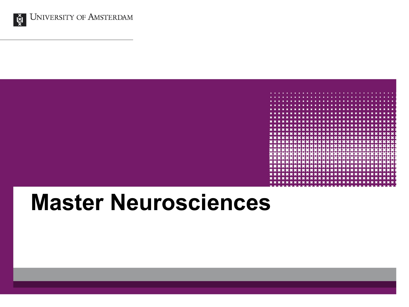



# **Master Neurosciences**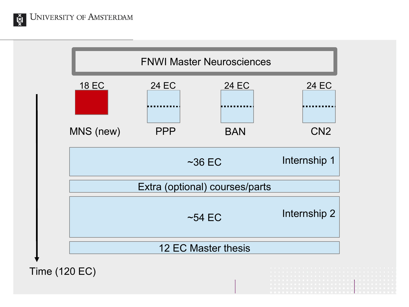Ğ

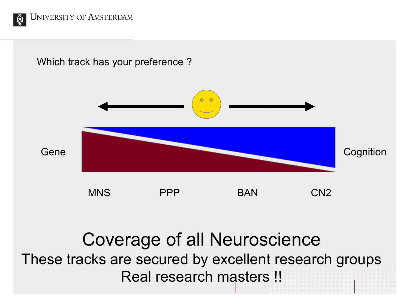

Which track has your preference ?



### Coverage of all Neuroscience These tracks are secured by excellent research groups Real research masters !!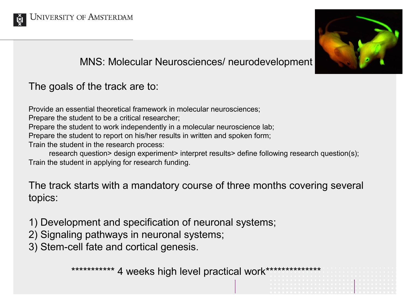



#### MNS: Molecular Neurosciences/ neurodevelopment

### The goals of the track are to:

Provide an essential theoretical framework in molecular neurosciences;

Prepare the student to be a critical researcher;

Prepare the student to work independently in a molecular neuroscience lab;

Prepare the student to report on his/her results in written and spoken form;

Train the student in the research process:

research question> design experiment> interpret results> define following research question(s); Train the student in applying for research funding.

The track starts with a mandatory course of three months covering several topics:

- 1) Development and specification of neuronal systems;
- 2) Signaling pathways in neuronal systems;
- 3) Stem-cell fate and cortical genesis.

\*\*\*\*\*\*\*\*\*\*\* 4 weeks high level practical work\*\*\*\*\*\*\*\*\*\*\*\*\*\*\*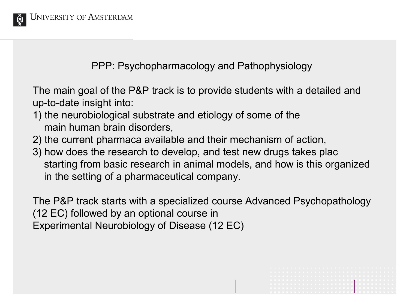

PPP: Psychopharmacology and Pathophysiology

The main goal of the P&P track is to provide students with a detailed and up-to-date insight into:

- 1) the neurobiological substrate and etiology of some of the main human brain disorders,
- 2) the current pharmaca available and their mechanism of action,
- 3) how does the research to develop, and test new drugs takes plac starting from basic research in animal models, and how is this organized in the setting of a pharmaceutical company.

The P&P track starts with a specialized course Advanced Psychopathology (12 EC) followed by an optional course in Experimental Neurobiology of Disease (12 EC)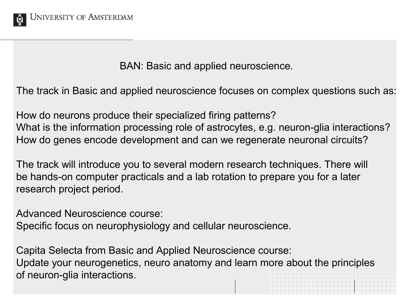

BAN: Basic and applied neuroscience.

The track in Basic and applied neuroscience focuses on complex questions such as:

How do neurons produce their specialized firing patterns? What is the information processing role of astrocytes, e.g. neuron-glia interactions? How do genes encode development and can we regenerate neuronal circuits?

The track will introduce you to several modern research techniques. There will be hands-on computer practicals and a lab rotation to prepare you for a later research project period.

Advanced Neuroscience course:

Specific focus on neurophysiology and cellular neuroscience.

Capita Selecta from Basic and Applied Neuroscience course: Update your neurogenetics, neuro anatomy and learn more about the principles of neuron-glia interactions.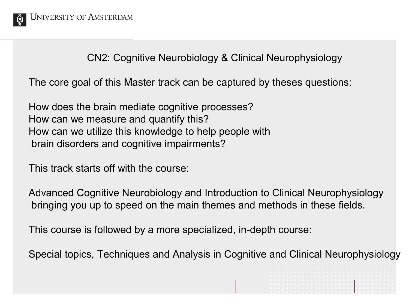

CN2: Cognitive Neurobiology & Clinical Neurophysiology

The core goal of this Master track can be captured by theses questions:

How does the brain mediate cognitive processes? How can we measure and quantify this? How can we utilize this knowledge to help people with brain disorders and cognitive impairments?

This track starts off with the course:

Advanced Cognitive Neurobiology and Introduction to Clinical Neurophysiology bringing you up to speed on the main themes and methods in these fields.

This course is followed by a more specialized, in-depth course:

Special topics, Techniques and Analysis in Cognitive and Clinical Neurophysiology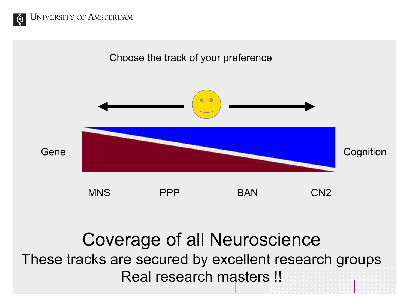



## Coverage of all Neuroscience These tracks are secured by excellent research groups Real research masters !!